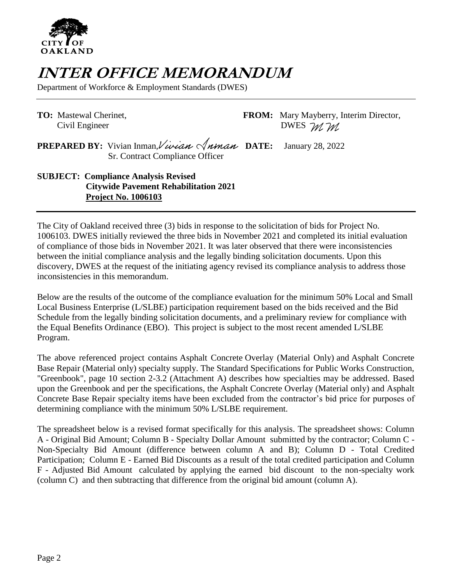

## **INTER OFFICE MEMORANDUM**

Department of Workforce & Employment Standards (DWES)

**TO:** Mastewal Cherinet, **FROM:** Mary Mayberry, Interim Director, Civil Engineer DWES M M

**PREPARED BY:** Vivian Inman, Vivian  $\sqrt{n}$  **DATE:** January 28, 2022 Sr. Contract Compliance Officer

**SUBJECT: Compliance Analysis Revised Citywide Pavement Rehabilitation 2021 Project No. 1006103**

The City of Oakland received three (3) bids in response to the solicitation of bids for Project No. 1006103. DWES initially reviewed the three bids in November 2021 and completed its initial evaluation of compliance of those bids in November 2021. It was later observed that there were inconsistencies between the initial compliance analysis and the legally binding solicitation documents. Upon this discovery, DWES at the request of the initiating agency revised its compliance analysis to address those inconsistencies in this memorandum.

Below are the results of the outcome of the compliance evaluation for the minimum 50% Local and Small Local Business Enterprise (L/SLBE) participation requirement based on the bids received and the Bid Schedule from the legally binding solicitation documents, and a preliminary review for compliance with the Equal Benefits Ordinance (EBO). This project is subject to the most recent amended L/SLBE Program.

The above referenced project contains Asphalt Concrete Overlay (Material Only) and Asphalt Concrete Base Repair (Material only) specialty supply. The Standard Specifications for Public Works Construction, "Greenbook", page 10 section 2-3.2 (Attachment A) describes how specialties may be addressed. Based upon the Greenbook and per the specifications, the Asphalt Concrete Overlay (Material only) and Asphalt Concrete Base Repair specialty items have been excluded from the contractor's bid price for purposes of determining compliance with the minimum 50% L/SLBE requirement.

The spreadsheet below is a revised format specifically for this analysis. The spreadsheet shows: Column A - Original Bid Amount; Column B - Specialty Dollar Amount submitted by the contractor; Column C - Non-Specialty Bid Amount (difference between column A and B); Column D - Total Credited Participation; Column E - Earned Bid Discounts as a result of the total credited participation and Column F - Adjusted Bid Amount calculated by applying the earned bid discount to the non-specialty work (column C) and then subtracting that difference from the original bid amount (column A).